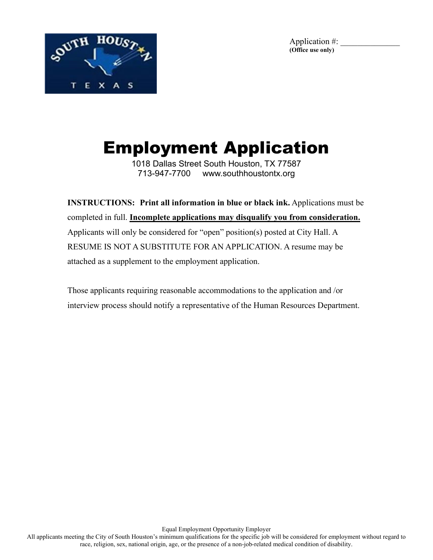



# Employment Application

1018 Dallas Street South Houston, TX 77587 713-947-7700 www.southhoustontx.org

**INSTRUCTIONS: Print all information in blue or black ink.** Applications must be completed in full. **Incomplete applications may disqualify you from consideration.** Applicants will only be considered for "open" position(s) posted at City Hall. A RESUME IS NOT A SUBSTITUTE FOR AN APPLICATION. A resume may be attached as a supplement to the employment application.

Those applicants requiring reasonable accommodations to the application and /or interview process should notify a representative of the Human Resources Department.

Equal Employment Opportunity Employer All applicants meeting the City of South Houston's minimum qualifications for the specific job will be considered for employment without regard to race, religion, sex, national origin, age, or the presence of a non-job-related medical condition of disability.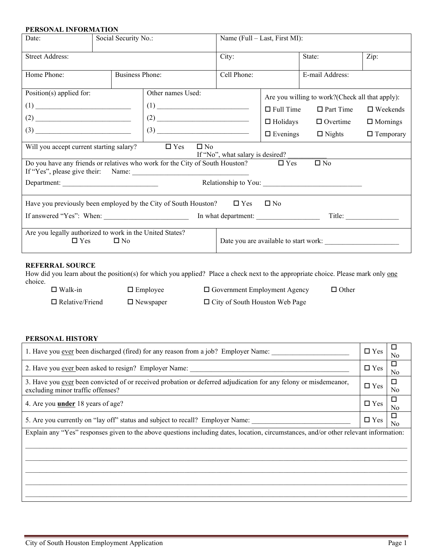### **PERSONAL INFORMATION**

| Date:                                                                                      | Social Security No.: |                                                                                            | Name (Full – Last, First MI):    |                                                  |                      |                    |  |
|--------------------------------------------------------------------------------------------|----------------------|--------------------------------------------------------------------------------------------|----------------------------------|--------------------------------------------------|----------------------|--------------------|--|
| <b>Street Address:</b>                                                                     |                      | City:                                                                                      |                                  | State:                                           | Zip:                 |                    |  |
| Home Phone:                                                                                |                      | <b>Business Phone:</b>                                                                     | Cell Phone:                      | E-mail Address:                                  |                      |                    |  |
| Position(s) applied for:                                                                   |                      | Other names Used:                                                                          |                                  | Are you willing to work? (Check all that apply): |                      |                    |  |
| $\frac{1}{\sqrt{1-\frac{1}{2}}}\left(1\right)$                                             |                      |                                                                                            |                                  | $\Box$ Full Time                                 | $\Box$ Part Time     | $\square$ Weekends |  |
|                                                                                            |                      |                                                                                            |                                  | $\Box$ Holidays                                  | $\Box$ Overtime      | $\Box$ Mornings    |  |
|                                                                                            |                      |                                                                                            |                                  | $\Box$ Evenings                                  | $\Box$ Nights        | $\Box$ Temporary   |  |
| Will you accept current starting salary? $\square$ Yes                                     |                      | $\square$ No                                                                               | If "No", what salary is desired? |                                                  |                      |                    |  |
|                                                                                            |                      | Do you have any friends or relatives who work for the City of South Houston? $\square$ Yes |                                  |                                                  | $\square$ No         |                    |  |
| Department:                                                                                |                      |                                                                                            |                                  |                                                  | Relationship to You: |                    |  |
| Have you previously been employed by the City of South Houston? $\square$ Yes $\square$ No |                      |                                                                                            |                                  |                                                  |                      |                    |  |
| If answered "Yes": When: In what department:                                               |                      |                                                                                            |                                  |                                                  |                      | Title:             |  |
| Are you legally authorized to work in the United States?<br>$\square$ Yes<br>$\Box$ No     |                      |                                                                                            |                                  |                                                  |                      |                    |  |

#### **REFERRAL SOURCE**

How did you learn about the position(s) for which you applied? Place a check next to the appropriate choice. Please mark only one choice.

| $\Box$ Walk-in         | $\Box$ Employee  | $\Box$ Government Employment Agency   | $\Box$ Other |
|------------------------|------------------|---------------------------------------|--------------|
| $\Box$ Relative/Friend | $\Box$ Newspaper | $\Box$ City of South Houston Web Page |              |

### **PERSONAL HISTORY**

| 1. Have you <u>ever</u> been discharged (fired) for any reason from a job? Employer Name:                                                             | $\Box$ Yes    | No      |
|-------------------------------------------------------------------------------------------------------------------------------------------------------|---------------|---------|
| 2. Have you ever been asked to resign? Employer Name:                                                                                                 | $\Box$ Yes    | □<br>No |
| 3. Have you ever been convicted of or received probation or deferred adjudication for any felony or misdemeanor,<br>excluding minor traffic offenses? | $\square$ Yes | □<br>No |
| 4. Are you <b>under</b> 18 years of age?                                                                                                              | $\Box$ Yes    | □<br>No |
| 5. Are you currently on "lay off" status and subject to recall? Employer Name:                                                                        | $\Box$ Yes    | No      |
| Explain any "Yes" responses given to the above questions including dates, location, circumstances, and/or other relevant information:                 |               |         |
|                                                                                                                                                       |               |         |
|                                                                                                                                                       |               |         |
|                                                                                                                                                       |               |         |
|                                                                                                                                                       |               |         |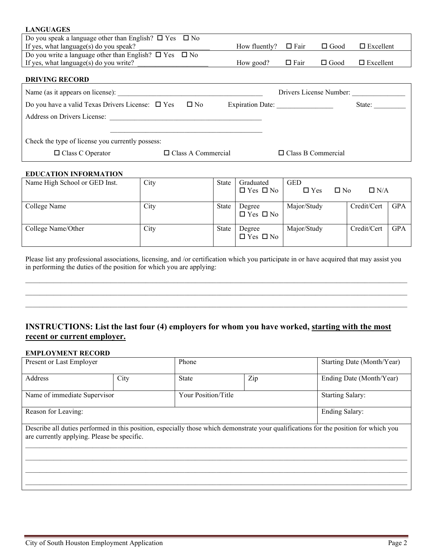| <b>LANGUAGES</b>                                                       |                           |                  |                           |             |                  |  |
|------------------------------------------------------------------------|---------------------------|------------------|---------------------------|-------------|------------------|--|
| Do you speak a language other than English? $\square$ Yes $\square$ No |                           |                  |                           |             |                  |  |
| If yes, what language(s) do you speak?                                 |                           | How fluently?    | $\Box$ Fair               | $\Box$ Good | $\Box$ Excellent |  |
| Do you write a language other than English? $\square$ Yes $\square$ No |                           |                  |                           |             |                  |  |
| If yes, what language(s) do you write?                                 |                           | How good?        | $\square$ Fair            | $\Box$ Good | $\Box$ Excellent |  |
|                                                                        |                           |                  |                           |             |                  |  |
| <b>DRIVING RECORD</b>                                                  |                           |                  |                           |             |                  |  |
| Name (as it appears on license):                                       |                           |                  | Drivers License Number:   |             |                  |  |
| Do you have a valid Texas Drivers License: $\Box$ Yes $\Box$ No        |                           | Expiration Date: |                           |             | State:           |  |
| Address on Drivers License:                                            |                           |                  |                           |             |                  |  |
|                                                                        |                           |                  |                           |             |                  |  |
| Check the type of license you currently possess:                       |                           |                  |                           |             |                  |  |
| $\Box$ Class C Operator                                                | $\Box$ Class A Commercial |                  | $\Box$ Class B Commercial |             |                  |  |

#### **EDUCATION INFORMATION**

| Name High School or GED Inst. | City | State | Graduated<br>$\Box$ Yes $\Box$ No | <b>GED</b><br>$\Box$ Yes<br>$\Box$ No | $\Box$ N/A  |            |
|-------------------------------|------|-------|-----------------------------------|---------------------------------------|-------------|------------|
| College Name                  | City | State | Degree<br>$\Box$ Yes $\Box$ No    | Major/Study                           | Credit/Cert | <b>GPA</b> |
| College Name/Other            | City | State | Degree<br>$\Box$ Yes $\Box$ No    | Major/Study                           | Credit/Cert | <b>GPA</b> |

Please list any professional associations, licensing, and /or certification which you participate in or have acquired that may assist you in performing the duties of the position for which you are applying:

\_\_\_\_\_\_\_\_\_\_\_\_\_\_\_\_\_\_\_\_\_\_\_\_\_\_\_\_\_\_\_\_\_\_\_\_\_\_\_\_\_\_\_\_\_\_\_\_\_\_\_\_\_\_\_\_\_\_\_\_\_\_\_\_\_\_\_\_\_\_\_\_\_\_\_\_\_\_\_\_\_\_\_\_\_\_\_\_\_\_\_\_\_\_\_\_\_\_\_\_\_\_\_\_\_\_\_\_ \_\_\_\_\_\_\_\_\_\_\_\_\_\_\_\_\_\_\_\_\_\_\_\_\_\_\_\_\_\_\_\_\_\_\_\_\_\_\_\_\_\_\_\_\_\_\_\_\_\_\_\_\_\_\_\_\_\_\_\_\_\_\_\_\_\_\_\_\_\_\_\_\_\_\_\_\_\_\_\_\_\_\_\_\_\_\_\_\_\_\_\_\_\_\_\_\_\_\_\_\_\_\_\_\_\_\_\_ \_\_\_\_\_\_\_\_\_\_\_\_\_\_\_\_\_\_\_\_\_\_\_\_\_\_\_\_\_\_\_\_\_\_\_\_\_\_\_\_\_\_\_\_\_\_\_\_\_\_\_\_\_\_\_\_\_\_\_\_\_\_\_\_\_\_\_\_\_\_\_\_\_\_\_\_\_\_\_\_\_\_\_\_\_\_\_\_\_\_\_\_\_\_\_\_\_\_\_\_\_\_\_\_\_\_\_\_

### **INSTRUCTIONS: List the last four (4) employers for whom you have worked, starting with the most recent or current employer.**

#### **EMPLOYMENT RECORD**

| Present or Last Employer                                                                                                                                                             |      | Phone               |     | Starting Date (Month/Year) |  |
|--------------------------------------------------------------------------------------------------------------------------------------------------------------------------------------|------|---------------------|-----|----------------------------|--|
| Address                                                                                                                                                                              | City | <b>State</b>        | Zip | Ending Date (Month/Year)   |  |
| Name of immediate Supervisor                                                                                                                                                         |      | Your Position/Title |     | <b>Starting Salary:</b>    |  |
| Reason for Leaving:                                                                                                                                                                  |      |                     |     | Ending Salary:             |  |
| Describe all duties performed in this position, especially those which demonstrate your qualifications for the position for which you<br>are currently applying. Please be specific. |      |                     |     |                            |  |
|                                                                                                                                                                                      |      |                     |     |                            |  |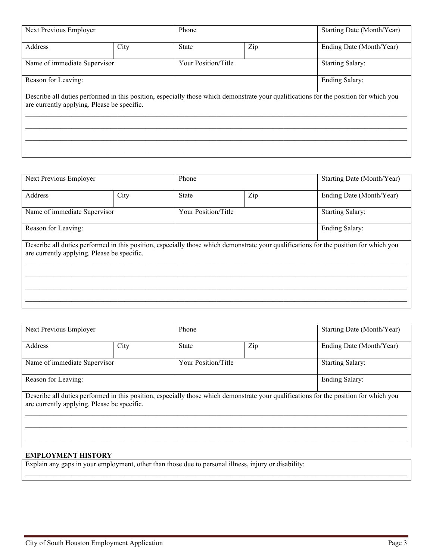| Next Previous Employer       |                                                                                                                                                                                      | Phone                      |     | Starting Date (Month/Year) |  |  |
|------------------------------|--------------------------------------------------------------------------------------------------------------------------------------------------------------------------------------|----------------------------|-----|----------------------------|--|--|
| Address                      | City                                                                                                                                                                                 | <b>State</b>               | Zip |                            |  |  |
| Name of immediate Supervisor |                                                                                                                                                                                      | <b>Your Position/Title</b> |     | <b>Starting Salary:</b>    |  |  |
| Reason for Leaving:          |                                                                                                                                                                                      |                            |     | Ending Salary:             |  |  |
|                              | Describe all duties performed in this position, especially those which demonstrate your qualifications for the position for which you<br>are currently applying. Please be specific. |                            |     |                            |  |  |
|                              |                                                                                                                                                                                      |                            |     |                            |  |  |
|                              |                                                                                                                                                                                      |                            |     |                            |  |  |
|                              |                                                                                                                                                                                      |                            |     |                            |  |  |

| Next Previous Employer                      |                     | Phone |                                                                                                                                       |  |
|---------------------------------------------|---------------------|-------|---------------------------------------------------------------------------------------------------------------------------------------|--|
| City                                        | <b>State</b>        | Zip   | Ending Date (Month/Year)                                                                                                              |  |
| Name of immediate Supervisor                | Your Position/Title |       | <b>Starting Salary:</b>                                                                                                               |  |
| Ending Salary:<br>Reason for Leaving:       |                     |       |                                                                                                                                       |  |
| are currently applying. Please be specific. |                     |       |                                                                                                                                       |  |
|                                             |                     |       |                                                                                                                                       |  |
|                                             |                     |       |                                                                                                                                       |  |
|                                             |                     |       |                                                                                                                                       |  |
|                                             |                     |       | Describe all duties performed in this position, especially those which demonstrate your qualifications for the position for which you |  |

| Next Previous Employer                                                                                                                                                               |      | Phone               |  | Starting Date (Month/Year) |  |
|--------------------------------------------------------------------------------------------------------------------------------------------------------------------------------------|------|---------------------|--|----------------------------|--|
| Address                                                                                                                                                                              | City | Zip<br><b>State</b> |  | Ending Date (Month/Year)   |  |
| Name of immediate Supervisor                                                                                                                                                         |      | Your Position/Title |  | <b>Starting Salary:</b>    |  |
| Reason for Leaving:                                                                                                                                                                  |      |                     |  | <b>Ending Salary:</b>      |  |
| Describe all duties performed in this position, especially those which demonstrate your qualifications for the position for which you<br>are currently applying. Please be specific. |      |                     |  |                            |  |
|                                                                                                                                                                                      |      |                     |  |                            |  |
|                                                                                                                                                                                      |      |                     |  |                            |  |

#### **EMPLOYMENT HISTORY**

Explain any gaps in your employment, other than those due to personal illness, injury or disability:  $\mathcal{L}_\mathcal{L} = \mathcal{L}_\mathcal{L} = \mathcal{L}_\mathcal{L} = \mathcal{L}_\mathcal{L} = \mathcal{L}_\mathcal{L} = \mathcal{L}_\mathcal{L} = \mathcal{L}_\mathcal{L} = \mathcal{L}_\mathcal{L} = \mathcal{L}_\mathcal{L} = \mathcal{L}_\mathcal{L} = \mathcal{L}_\mathcal{L} = \mathcal{L}_\mathcal{L} = \mathcal{L}_\mathcal{L} = \mathcal{L}_\mathcal{L} = \mathcal{L}_\mathcal{L} = \mathcal{L}_\mathcal{L} = \mathcal{L}_\mathcal{L}$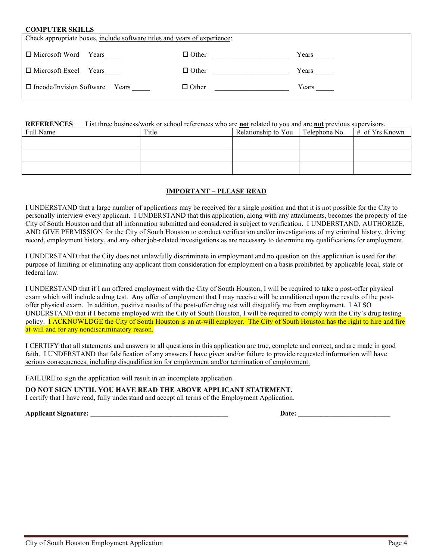#### **COMPUTER SKILLS**

| Check appropriate boxes, include software titles and years of experience: |              |       |  |  |  |
|---------------------------------------------------------------------------|--------------|-------|--|--|--|
| □ Microsoft Word Years                                                    | $\Box$ Other | Years |  |  |  |
| $\Box$ Microsoft Excel Years                                              | $\Box$ Other | Years |  |  |  |
| $\Box$ Incode/Invision Software Years                                     | $\Box$ Other | Years |  |  |  |

#### **REFERENCES** List three business/work or school references who are **not** related to you and are **not** previous supervisors.

| Full Name | Title | Relationship to You | Telephone No. | $#$ of Yrs Known |
|-----------|-------|---------------------|---------------|------------------|
|           |       |                     |               |                  |
|           |       |                     |               |                  |
|           |       |                     |               |                  |
|           |       |                     |               |                  |

#### **IMPORTANT – PLEASE READ**

I UNDERSTAND that a large number of applications may be received for a single position and that it is not possible for the City to personally interview every applicant. I UNDERSTAND that this application, along with any attachments, becomes the property of the City of South Houston and that all information submitted and considered is subject to verification. I UNDERSTAND, AUTHORIZE, AND GIVE PERMISSION for the City of South Houston to conduct verification and/or investigations of my criminal history, driving record, employment history, and any other job-related investigations as are necessary to determine my qualifications for employment.

I UNDERSTAND that the City does not unlawfully discriminate in employment and no question on this application is used for the purpose of limiting or eliminating any applicant from consideration for employment on a basis prohibited by applicable local, state or federal law.

I UNDERSTAND that if I am offered employment with the City of South Houston, I will be required to take a post-offer physical exam which will include a drug test. Any offer of employment that I may receive will be conditioned upon the results of the postoffer physical exam. In addition, positive results of the post-offer drug test will disqualify me from employment. I ALSO UNDERSTAND that if I become employed with the City of South Houston, I will be required to comply with the City's drug testing policy. **I ACKNOWLDGE the City of South Houston is an at-will employer.** The City of South Houston has the right to hire and fire at-will and for any nondiscriminatory reason.

I CERTIFY that all statements and answers to all questions in this application are true, complete and correct, and are made in good faith. I UNDERSTAND that falsification of any answers I have given and/or failure to provide requested information will have serious consequences, including disqualification for employment and/or termination of employment.

FAILURE to sign the application will result in an incomplete application.

**DO NOT SIGN UNTIL YOU HAVE READ THE ABOVE APPLICANT STATEMENT.**

I certify that I have read, fully understand and accept all terms of the Employment Application.

**Applicant Signature: \_\_\_\_\_\_\_\_\_\_\_\_\_\_\_\_\_\_\_\_\_\_\_\_\_\_\_\_\_\_\_\_\_\_\_\_\_\_\_\_\_\_\_ Date: \_\_\_\_\_\_\_\_\_\_\_\_\_\_\_\_\_\_\_\_\_\_\_\_\_\_\_\_\_**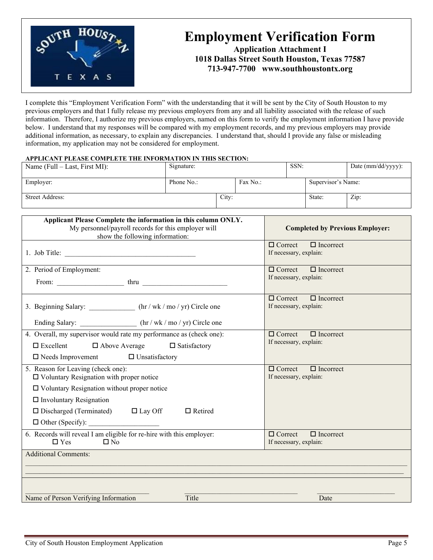

# **Employment Verification Form**

**Application Attachment I 1018 Dallas Street South Houston, Texas 77587 713-947-7700 www.southhoustontx.org**

I complete this "Employment Verification Form" with the understanding that it will be sent by the City of South Houston to my previous employers and that I fully release my previous employers from any and all liability associated with the release of such information. Therefore, I authorize my previous employers, named on this form to verify the employment information I have provide below. I understand that my responses will be compared with my employment records, and my previous employers may provide additional information, as necessary, to explain any discrepancies. I understand that, should I provide any false or misleading information, my application may not be considered for employment.

#### **APPLICANT PLEASE COMPLETE THE INFORMATION IN THIS SECTION:**

| Name (Full $-$ Last, First MI): | Signature: |       |          | SSN: |                    | Date (mm/dd/yyyy): |
|---------------------------------|------------|-------|----------|------|--------------------|--------------------|
| Employer:                       | Phone No.: |       | Fax No.: |      | Supervisor's Name: |                    |
| Street Address:                 |            | City: |          |      | State:             | Zip:               |

| Applicant Please Complete the information in this column ONLY.<br>My personnel/payroll records for this employer will<br>show the following information:                                                                                                                          | <b>Completed by Previous Employer:</b>                       |
|-----------------------------------------------------------------------------------------------------------------------------------------------------------------------------------------------------------------------------------------------------------------------------------|--------------------------------------------------------------|
|                                                                                                                                                                                                                                                                                   | $\Box$ Correct $\Box$ Incorrect<br>If necessary, explain:    |
| 2. Period of Employment:                                                                                                                                                                                                                                                          | $\Box$ Correct $\Box$ Incorrect<br>If necessary, explain:    |
| 3. Beginning Salary: _____________ (hr / wk / mo / yr) Circle one                                                                                                                                                                                                                 | $\Box$ Correct $\Box$ Incorrect<br>If necessary, explain:    |
| Ending Salary: __________________ (hr / wk / mo / yr) Circle one<br>4. Overall, my supervisor would rate my performance as (check one):<br>$\square$ Excellent $\square$ Above Average $\square$ Satisfactory<br>$\Box$ Needs Improvement $\Box$ Unsatisfactory                   | $\Box$ Incorrect<br>$\Box$ Correct<br>If necessary, explain: |
| 5. Reason for Leaving (check one):<br>$\Box$ Voluntary Resignation with proper notice<br>$\Box$ Voluntary Resignation without proper notice<br>$\Box$ Involuntary Resignation<br>$\square$ Discharged (Terminated) $\square$ Lay Off<br>$\Box$ Retired<br>$\Box$ Other (Specify): | $\Box$ Correct $\Box$ Incorrect<br>If necessary, explain:    |
| 6. Records will reveal I am eligible for re-hire with this employer:<br>$\Box$ Yes<br>$\Box$ No                                                                                                                                                                                   | $\Box$ Incorrect<br>$\Box$ Correct<br>If necessary, explain: |
| <b>Additional Comments:</b>                                                                                                                                                                                                                                                       |                                                              |
| Name of Person Verifying Information<br>Title                                                                                                                                                                                                                                     | Date                                                         |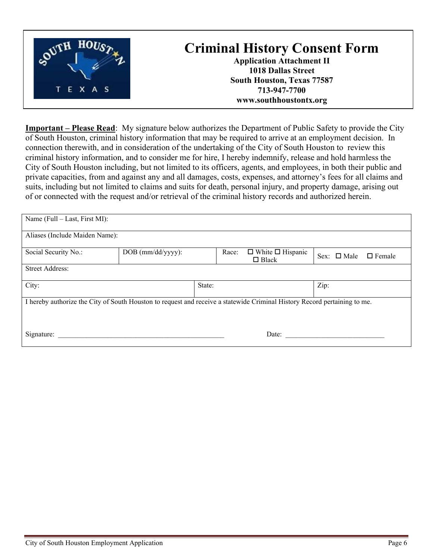

**Important – Please Read**: My signature below authorizes the Department of Public Safety to provide the City of South Houston, criminal history information that may be required to arrive at an employment decision. In connection therewith, and in consideration of the undertaking of the City of South Houston to review this criminal history information, and to consider me for hire, I hereby indemnify, release and hold harmless the City of South Houston including, but not limited to its officers, agents, and employees, in both their public and private capacities, from and against any and all damages, costs, expenses, and attorney's fees for all claims and suits, including but not limited to claims and suits for death, personal injury, and property damage, arising out of or connected with the request and/or retrieval of the criminal history records and authorized herein.

| Name (Full – Last, First MI):                                                                                             |                   |        |                                              |                                   |
|---------------------------------------------------------------------------------------------------------------------------|-------------------|--------|----------------------------------------------|-----------------------------------|
| Aliases (Include Maiden Name):                                                                                            |                   |        |                                              |                                   |
| Social Security No.:                                                                                                      | DOB (mm/dd/yyyy): | Race:  | $\Box$ White $\Box$ Hispanic<br>$\Box$ Black | Sex: $\Box$ Male<br>$\Box$ Female |
| <b>Street Address:</b>                                                                                                    |                   |        |                                              |                                   |
| City:                                                                                                                     |                   | State: |                                              | Zip:                              |
| I hereby authorize the City of South Houston to request and receive a statewide Criminal History Record pertaining to me. |                   |        |                                              |                                   |
| Signature:                                                                                                                |                   |        | Date:                                        |                                   |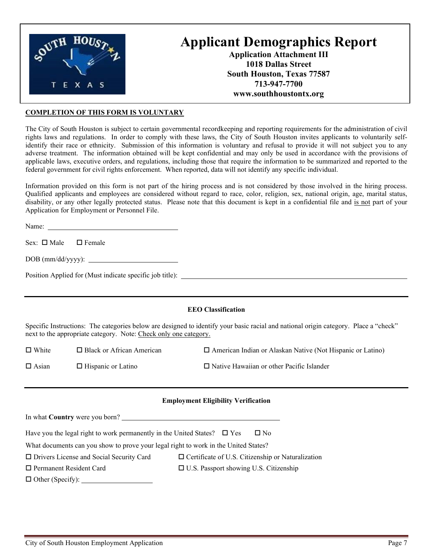

# **Applicant Demographics Report**

**Application Attachment III 1018 Dallas Street South Houston, Texas 77587 713-947-7700 www.southhoustontx.org**

#### **COMPLETION OF THIS FORM IS VOLUNTARY**

The City of South Houston is subject to certain governmental recordkeeping and reporting requirements for the administration of civil rights laws and regulations. In order to comply with these laws, the City of South Houston invites applicants to voluntarily selfidentify their race or ethnicity. Submission of this information is voluntary and refusal to provide it will not subject you to any adverse treatment. The information obtained will be kept confidential and may only be used in accordance with the provisions of applicable laws, executive orders, and regulations, including those that require the information to be summarized and reported to the federal government for civil rights enforcement. When reported, data will not identify any specific individual.

Information provided on this form is not part of the hiring process and is not considered by those involved in the hiring process. Qualified applicants and employees are considered without regard to race, color, religion, sex, national origin, age, marital status, disability, or any other legally protected status. Please note that this document is kept in a confidential file and is not part of your Application for Employment or Personnel File.

Name:  $\blacksquare$ 

Sex:  $\Box$  Male  $\Box$  Female

DOB (mm/dd/yyyy):

Position Applied for (Must indicate specific job title):

#### **EEO Classification**

Specific Instructions: The categories below are designed to identify your basic racial and national origin category. Place a "check" next to the appropriate category. Note: Check only one category.

 $\Box$  White  $\Box$  Black or African American  $\Box$  American Indian or Alaskan Native (Not Hispanic or Latino)

 $\Box$  Asian  $\Box$  Hispanic or Latino  $\Box$  Native Hawaiian or other Pacific Islander

#### **Employment Eligibility Verification**

| In what <b>Country</b> were you born?                                               |                                                          |
|-------------------------------------------------------------------------------------|----------------------------------------------------------|
| Have you the legal right to work permanently in the United States? $\square$ Yes    | $\Box$ No                                                |
| What documents can you show to prove your legal right to work in the United States? |                                                          |
| $\Box$ Drivers License and Social Security Card                                     | $\Box$ Certificate of U.S. Citizenship or Naturalization |
| $\Box$ Permanent Resident Card                                                      | $\Box$ U.S. Passport showing U.S. Citizenship            |
| $\Box$ Other (Specify): $\Box$                                                      |                                                          |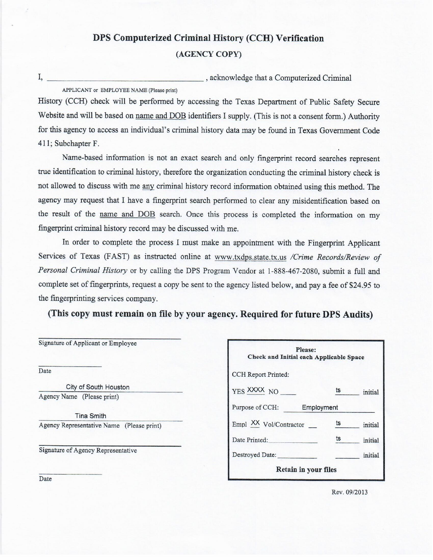## DPS Computerized Criminal History (CCH) Verification (AGENCY COPY)

I, , acknowledge that a Computerized Criminal APPLICANT or EMPLOYEE NAME (Please print)

History (CCH) check will be performed by accessing the Texas Department of Public Safety Secure Website and will be based on name and DOB identifiers I supply. (This is not a consent form.) Authority for this agency to access an individual's criminal history data may be found in Texas Government Code 411; Subchapter F.

Name-based information is not an exact search and only fingerprint record searches represent true identification to criminal history, therefore the organization conducting the criminal history check is not allowed to discuss with me any criminal history record information obtained using this method. The agency may request that I have a fingerprint search performed to clear any misidentification based on the result of the name and DOB search. Once this process is completed the information on my fingerprint criminal history record may be discussed with me.

In order to complete the process I must make an appointment with the Fingerprint Applicant Services of Texas (FAST) as instructed online at www.txdps.state.tx.us /Crime Records/Review of Personal Criminal History or by calling the DPS Program Vendor at 1-888-467-2080, submit a full and complete set of fingerprints, request a copy be sent to the agency listed below, and pay a fee of \$24.95 to the fingerprinting services company.

(This copy must remain on file by your agency. Required for future DPS Audits)

| Signature of Applicant or Employee        |  |
|-------------------------------------------|--|
| Date                                      |  |
| City of South Houston                     |  |
| Agency Name (Please print)                |  |
| <b>Tina Smith</b>                         |  |
| Agency Representative Name (Please print) |  |
| Signature of Agency Representative        |  |
|                                           |  |
| Date                                      |  |

| Please:<br>Check and Initial each Applicable Space |    |         |  |
|----------------------------------------------------|----|---------|--|
| CCH Report Printed:                                |    |         |  |
| YES XXXX NO                                        | ts | initial |  |
| Purpose of CCH:<br>Employment                      |    |         |  |
| Empl XX Vol/Contractor                             | ts | initial |  |
| Date Printed:                                      | ts | initial |  |
| Destroyed Date:                                    |    | initial |  |
| Retain in your files                               |    |         |  |

Rev. 09/2013